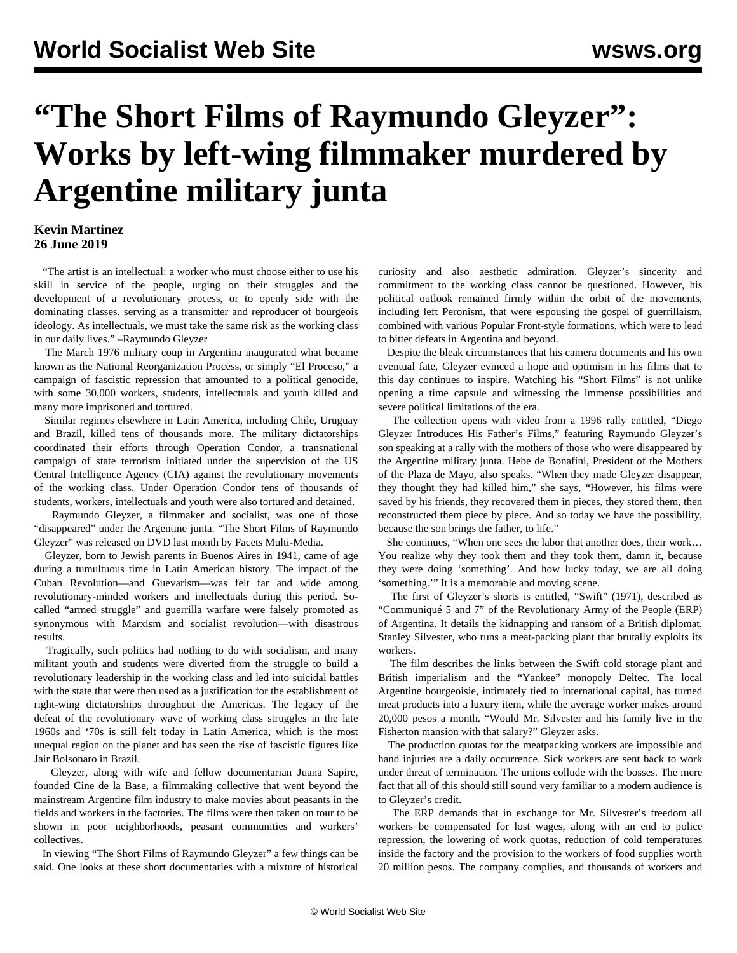## **"The Short Films of Raymundo Gleyzer": Works by left-wing filmmaker murdered by Argentine military junta**

## **Kevin Martinez 26 June 2019**

 "The artist is an intellectual: a worker who must choose either to use his skill in service of the people, urging on their struggles and the development of a revolutionary process, or to openly side with the dominating classes, serving as a transmitter and reproducer of bourgeois ideology. As intellectuals, we must take the same risk as the working class in our daily lives." –Raymundo Gleyzer

 The March 1976 military coup in Argentina inaugurated what became known as the National Reorganization Process, or simply "El Proceso," a campaign of fascistic repression that amounted to a political genocide, with some 30,000 workers, students, intellectuals and youth killed and many more imprisoned and tortured.

 Similar regimes elsewhere in Latin America, including Chile, Uruguay and Brazil, killed tens of thousands more. The military dictatorships coordinated their efforts through Operation Condor, a transnational campaign of state terrorism initiated under the supervision of the US Central Intelligence Agency (CIA) against the revolutionary movements of the working class. Under Operation Condor tens of thousands of students, workers, intellectuals and youth were also tortured and detained.

 Raymundo Gleyzer, a filmmaker and socialist, was one of those "disappeared" under the Argentine junta. "The Short Films of Raymundo Gleyzer" was released on DVD last month by Facets Multi-Media.

 Gleyzer, born to Jewish parents in Buenos Aires in 1941, came of age during a tumultuous time in Latin American history. The impact of the Cuban Revolution—and Guevarism—was felt far and wide among revolutionary-minded workers and intellectuals during this period. Socalled "armed struggle" and guerrilla warfare were falsely promoted as synonymous with Marxism and socialist revolution—with disastrous results.

 Tragically, such politics had nothing to do with socialism, and many militant youth and students were diverted from the struggle to build a revolutionary leadership in the working class and led into suicidal battles with the state that were then used as a justification for the establishment of right-wing dictatorships throughout the Americas. The legacy of the defeat of the revolutionary wave of working class struggles in the late 1960s and '70s is still felt today in Latin America, which is the most unequal region on the planet and has seen the rise of fascistic figures like Jair Bolsonaro in Brazil.

 Gleyzer, along with wife and fellow documentarian Juana Sapire, founded Cine de la Base, a filmmaking collective that went beyond the mainstream Argentine film industry to make movies about peasants in the fields and workers in the factories. The films were then taken on tour to be shown in poor neighborhoods, peasant communities and workers' collectives.

 In viewing "The Short Films of Raymundo Gleyzer" a few things can be said. One looks at these short documentaries with a mixture of historical curiosity and also aesthetic admiration. Gleyzer's sincerity and commitment to the working class cannot be questioned. However, his political outlook remained firmly within the orbit of the movements, including left Peronism, that were espousing the gospel of guerrillaism, combined with various Popular Front-style formations, which were to lead to bitter defeats in Argentina and beyond.

 Despite the bleak circumstances that his camera documents and his own eventual fate, Gleyzer evinced a hope and optimism in his films that to this day continues to inspire. Watching his "Short Films" is not unlike opening a time capsule and witnessing the immense possibilities and severe political limitations of the era.

 The collection opens with video from a 1996 rally entitled, "Diego Gleyzer Introduces His Father's Films," featuring Raymundo Gleyzer's son speaking at a rally with the mothers of those who were disappeared by the Argentine military junta. Hebe de Bonafini, President of the Mothers of the Plaza de Mayo, also speaks. "When they made Gleyzer disappear, they thought they had killed him," she says, "However, his films were saved by his friends, they recovered them in pieces, they stored them, then reconstructed them piece by piece. And so today we have the possibility, because the son brings the father, to life."

 She continues, "When one sees the labor that another does, their work… You realize why they took them and they took them, damn it, because they were doing 'something'. And how lucky today, we are all doing 'something.'" It is a memorable and moving scene.

 The first of Gleyzer's shorts is entitled, "Swift" (1971), described as "Communiqué 5 and 7" of the Revolutionary Army of the People (ERP) of Argentina. It details the kidnapping and ransom of a British diplomat, Stanley Silvester, who runs a meat-packing plant that brutally exploits its workers.

 The film describes the links between the Swift cold storage plant and British imperialism and the "Yankee" monopoly Deltec. The local Argentine bourgeoisie, intimately tied to international capital, has turned meat products into a luxury item, while the average worker makes around 20,000 pesos a month. "Would Mr. Silvester and his family live in the Fisherton mansion with that salary?" Gleyzer asks.

 The production quotas for the meatpacking workers are impossible and hand injuries are a daily occurrence. Sick workers are sent back to work under threat of termination. The unions collude with the bosses. The mere fact that all of this should still sound very familiar to a modern audience is to Gleyzer's credit.

 The ERP demands that in exchange for Mr. Silvester's freedom all workers be compensated for lost wages, along with an end to police repression, the lowering of work quotas, reduction of cold temperatures inside the factory and the provision to the workers of food supplies worth 20 million pesos. The company complies, and thousands of workers and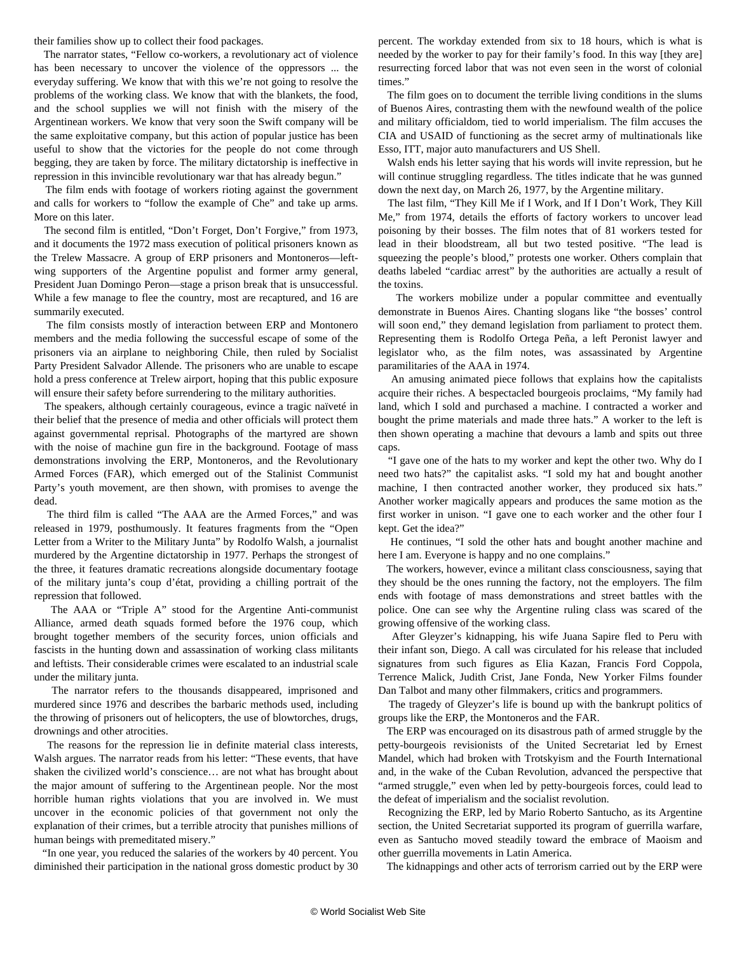their families show up to collect their food packages.

 The narrator states, "Fellow co-workers, a revolutionary act of violence has been necessary to uncover the violence of the oppressors ... the everyday suffering. We know that with this we're not going to resolve the problems of the working class. We know that with the blankets, the food, and the school supplies we will not finish with the misery of the Argentinean workers. We know that very soon the Swift company will be the same exploitative company, but this action of popular justice has been useful to show that the victories for the people do not come through begging, they are taken by force. The military dictatorship is ineffective in repression in this invincible revolutionary war that has already begun."

 The film ends with footage of workers rioting against the government and calls for workers to "follow the example of Che" and take up arms. More on this later.

 The second film is entitled, "Don't Forget, Don't Forgive," from 1973, and it documents the 1972 mass execution of political prisoners known as the Trelew Massacre. A group of ERP prisoners and Montoneros—leftwing supporters of the Argentine populist and former army general, President Juan Domingo Peron—stage a prison break that is unsuccessful. While a few manage to flee the country, most are recaptured, and 16 are summarily executed.

 The film consists mostly of interaction between ERP and Montonero members and the media following the successful escape of some of the prisoners via an airplane to neighboring Chile, then ruled by Socialist Party President Salvador Allende. The prisoners who are unable to escape hold a press conference at Trelew airport, hoping that this public exposure will ensure their safety before surrendering to the military authorities.

 The speakers, although certainly courageous, evince a tragic naïveté in their belief that the presence of media and other officials will protect them against governmental reprisal. Photographs of the martyred are shown with the noise of machine gun fire in the background. Footage of mass demonstrations involving the ERP, Montoneros, and the Revolutionary Armed Forces (FAR), which emerged out of the Stalinist Communist Party's youth movement, are then shown, with promises to avenge the dead.

 The third film is called "The AAA are the Armed Forces," and was released in 1979, posthumously. It features fragments from the "Open Letter from a Writer to the Military Junta" by Rodolfo Walsh, a journalist murdered by the Argentine dictatorship in 1977. Perhaps the strongest of the three, it features dramatic recreations alongside documentary footage of the military junta's coup d'état, providing a chilling portrait of the repression that followed.

 The AAA or "Triple A" stood for the Argentine Anti-communist Alliance, armed death squads formed before the 1976 coup, which brought together members of the security forces, union officials and fascists in the hunting down and assassination of working class militants and leftists. Their considerable crimes were escalated to an industrial scale under the military junta.

 The narrator refers to the thousands disappeared, imprisoned and murdered since 1976 and describes the barbaric methods used, including the throwing of prisoners out of helicopters, the use of blowtorches, drugs, drownings and other atrocities.

 The reasons for the repression lie in definite material class interests, Walsh argues. The narrator reads from his letter: "These events, that have shaken the civilized world's conscience… are not what has brought about the major amount of suffering to the Argentinean people. Nor the most horrible human rights violations that you are involved in. We must uncover in the economic policies of that government not only the explanation of their crimes, but a terrible atrocity that punishes millions of human beings with premeditated misery."

 "In one year, you reduced the salaries of the workers by 40 percent. You diminished their participation in the national gross domestic product by 30 percent. The workday extended from six to 18 hours, which is what is needed by the worker to pay for their family's food. In this way [they are] resurrecting forced labor that was not even seen in the worst of colonial times."

 The film goes on to document the terrible living conditions in the slums of Buenos Aires, contrasting them with the newfound wealth of the police and military officialdom, tied to world imperialism. The film accuses the CIA and USAID of functioning as the secret army of multinationals like Esso, ITT, major auto manufacturers and US Shell.

 Walsh ends his letter saying that his words will invite repression, but he will continue struggling regardless. The titles indicate that he was gunned down the next day, on March 26, 1977, by the Argentine military.

 The last film, "They Kill Me if I Work, and If I Don't Work, They Kill Me," from 1974, details the efforts of factory workers to uncover lead poisoning by their bosses. The film notes that of 81 workers tested for lead in their bloodstream, all but two tested positive. "The lead is squeezing the people's blood," protests one worker. Others complain that deaths labeled "cardiac arrest" by the authorities are actually a result of the toxins.

 The workers mobilize under a popular committee and eventually demonstrate in Buenos Aires. Chanting slogans like "the bosses' control will soon end," they demand legislation from parliament to protect them. Representing them is Rodolfo Ortega Peña, a left Peronist lawyer and legislator who, as the film notes, was assassinated by Argentine paramilitaries of the AAA in 1974.

 An amusing animated piece follows that explains how the capitalists acquire their riches. A bespectacled bourgeois proclaims, "My family had land, which I sold and purchased a machine. I contracted a worker and bought the prime materials and made three hats." A worker to the left is then shown operating a machine that devours a lamb and spits out three caps.

 "I gave one of the hats to my worker and kept the other two. Why do I need two hats?" the capitalist asks. "I sold my hat and bought another machine, I then contracted another worker, they produced six hats." Another worker magically appears and produces the same motion as the first worker in unison. "I gave one to each worker and the other four I kept. Get the idea?"

 He continues, "I sold the other hats and bought another machine and here I am. Everyone is happy and no one complains."

 The workers, however, evince a militant class consciousness, saying that they should be the ones running the factory, not the employers. The film ends with footage of mass demonstrations and street battles with the police. One can see why the Argentine ruling class was scared of the growing offensive of the working class.

 After Gleyzer's kidnapping, his wife Juana Sapire fled to Peru with their infant son, Diego. A call was circulated for his release that included signatures from such figures as Elia Kazan, Francis Ford Coppola, Terrence Malick, Judith Crist, Jane Fonda, New Yorker Films founder Dan Talbot and many other filmmakers, critics and programmers.

 The tragedy of Gleyzer's life is bound up with the bankrupt politics of groups like the ERP, the Montoneros and the FAR.

 The ERP was encouraged on its disastrous path of armed struggle by the petty-bourgeois revisionists of the United Secretariat led by Ernest Mandel, which had broken with Trotskyism and the Fourth International and, in the wake of the Cuban Revolution, advanced the perspective that "armed struggle," even when led by petty-bourgeois forces, could lead to the defeat of imperialism and the socialist revolution.

 Recognizing the ERP, led by Mario Roberto Santucho, as its Argentine section, the United Secretariat supported its program of guerrilla warfare, even as Santucho moved steadily toward the embrace of Maoism and other guerrilla movements in Latin America.

The kidnappings and other acts of terrorism carried out by the ERP were